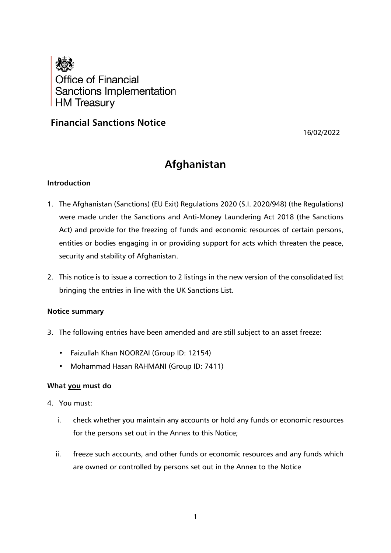

# **Financial Sanctions Notice**

16/02/2022

# **Afghanistan**

### **Introduction**

- 1. The Afghanistan (Sanctions) (EU Exit) Regulations 2020 (S.I. 2020/948) (the Regulations) were made under the Sanctions and Anti-Money Laundering Act 2018 (the Sanctions Act) and provide for the freezing of funds and economic resources of certain persons, entities or bodies engaging in or providing support for acts which threaten the peace, security and stability of Afghanistan.
- 2. This notice is to issue a correction to 2 listings in the new version of the consolidated list bringing the entries in line with the UK Sanctions List.

#### **Notice summary**

- 3. The following entries have been amended and are still subject to an asset freeze:
	- Faizullah Khan NOORZAI (Group ID: 12154)
	- Mohammad Hasan RAHMANI (Group ID: 7411)

#### **What you must do**

- 4. You must:
	- i. check whether you maintain any accounts or hold any funds or economic resources for the persons set out in the Annex to this Notice;
	- ii. freeze such accounts, and other funds or economic resources and any funds which are owned or controlled by persons set out in the Annex to the Notice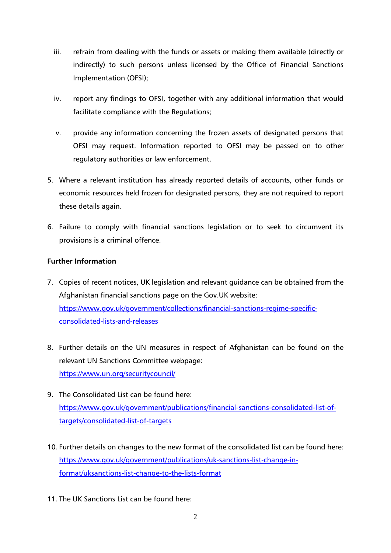- iii. refrain from dealing with the funds or assets or making them available (directly or indirectly) to such persons unless licensed by the Office of Financial Sanctions Implementation (OFSI);
- iv. report any findings to OFSI, together with any additional information that would facilitate compliance with the Regulations;
- v. provide any information concerning the frozen assets of designated persons that OFSI may request. Information reported to OFSI may be passed on to other regulatory authorities or law enforcement.
- 5. Where a relevant institution has already reported details of accounts, other funds or economic resources held frozen for designated persons, they are not required to report these details again.
- 6. Failure to comply with financial sanctions legislation or to seek to circumvent its provisions is a criminal offence.

## **Further Information**

- 7. Copies of recent notices, UK legislation and relevant guidance can be obtained from the Afghanistan financial sanctions page on the Gov.UK website: [https://www.gov.uk/government/collections/financial-sanctions-regime-specific](https://www.gov.uk/government/collections/financial-sanctions-regime-specific-consolidated-lists-and-releases)[consolidated-lists-and-releases](https://www.gov.uk/government/collections/financial-sanctions-regime-specific-consolidated-lists-and-releases)
- 8. Further details on the UN measures in respect of Afghanistan can be found on the relevant UN Sanctions Committee webpage: <https://www.un.org/securitycouncil/>
- 9. The Consolidated List can be found here: [https://www.gov.uk/government/publications/financial-sanctions-consolidated-list-of](https://www.gov.uk/government/publications/financial-sanctions-consolidated-list-of-targets/consolidated-list-of-targets)[targets/consolidated-list-of-targets](https://www.gov.uk/government/publications/financial-sanctions-consolidated-list-of-targets/consolidated-list-of-targets)
- 10. Further details on changes to the new format of the consolidated list can be found here: [https://www.gov.uk/government/publications/uk-sanctions-list-change-in](https://www.gov.uk/government/publications/uk-sanctions-list-change-in-format/uksanctions-list-change-to-the-lists-format)[format/uksanctions-list-change-to-the-lists-format](https://www.gov.uk/government/publications/uk-sanctions-list-change-in-format/uksanctions-list-change-to-the-lists-format)
- 11. The UK Sanctions List can be found here: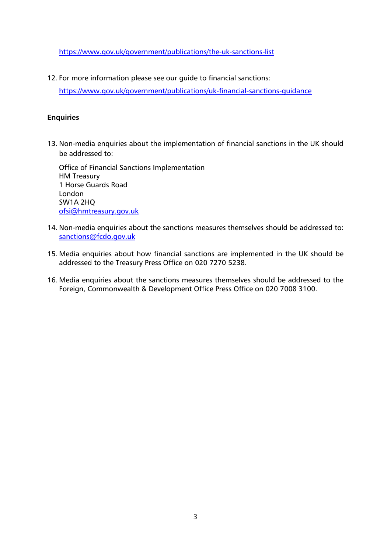<https://www.gov.uk/government/publications/the-uk-sanctions-list>

12. For more information please see our guide to financial sanctions:

<https://www.gov.uk/government/publications/uk-financial-sanctions-guidance>

#### **Enquiries**

13. Non-media enquiries about the implementation of financial sanctions in the UK should be addressed to:

Office of Financial Sanctions Implementation HM Treasury 1 Horse Guards Road London SW1A 2HQ [ofsi@hmtreasury.gov.uk](mailto:ofsi@hmtreasury.gov.uk)

- 14. Non-media enquiries about the sanctions measures themselves should be addressed to: [sanctions@fcdo.gov.uk](mailto:sanctions@fcdo.gov.uk)
- 15. Media enquiries about how financial sanctions are implemented in the UK should be addressed to the Treasury Press Office on 020 7270 5238.
- 16. Media enquiries about the sanctions measures themselves should be addressed to the Foreign, Commonwealth & Development Office Press Office on 020 7008 3100.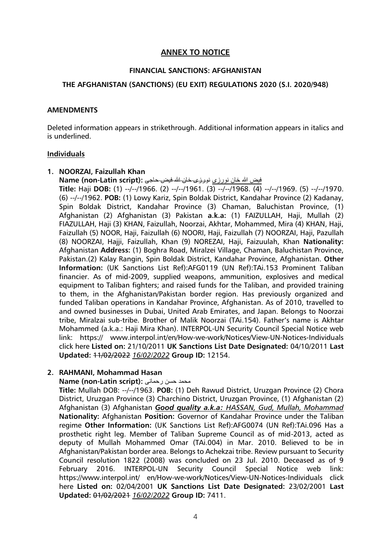#### **ANNEX TO NOTICE**

#### **FINANCIAL SANCTIONS: AFGHANISTAN**

#### **THE AFGHANISTAN (SANCTIONS) (EU EXIT) REGULATIONS 2020 (S.I. 2020/948)**

#### **AMENDMENTS**

Deleted information appears in strikethrough. Additional information appears in italics and is underlined.

#### **Individuals**

#### **1. NOORZAI, Faizullah Khan**

فیض هللا خان نورزی نورزى خان هللا فیض حاجى **:(script Latin-non (Name**

**Title:** Haji **DOB:** (1) --/--/1966. (2) --/--/1961. (3) --/--/1968. (4) --/--/1969. (5) --/--/1970. (6) --/--/1962. **POB:** (1) Lowy Kariz, Spin Boldak District, Kandahar Province (2) Kadanay, Spin Boldak District, Kandahar Province (3) Chaman, Baluchistan Province, (1) Afghanistan (2) Afghanistan (3) Pakistan **a.k.a:** (1) FAIZULLAH, Haji, Mullah (2) FIAZULLAH, Haji (3) KHAN, Faizullah, Noorzai, Akhtar, Mohammed, Mira (4) KHAN, Haji, Faizullah (5) NOOR, Haji, Faizullah (6) NOORI, Haji, Faizullah (7) NOORZAI, Haji, Pazullah (8) NOORZAI, Hajji, Faizullah, Khan (9) NOREZAI, Haji, Faizuulah, Khan **Nationality:** Afghanistan **Address:** (1) Boghra Road, Miralzei Village, Chaman, Baluchistan Province, Pakistan.(2) Kalay Rangin, Spin Boldak District, Kandahar Province, Afghanistan. **Other Information:** (UK Sanctions List Ref):AFG0119 (UN Ref):TAi.153 Prominent Taliban financier. As of mid-2009, supplied weapons, ammunition, explosives and medical equipment to Taliban fighters; and raised funds for the Taliban, and provided training to them, in the Afghanistan/Pakistan border region. Has previously organized and funded Taliban operations in Kandahar Province, Afghanistan. As of 2010, travelled to and owned businesses in Dubai, United Arab Emirates, and Japan. Belongs to Noorzai tribe, Miralzai sub-tribe. Brother of Malik Noorzai (TAi.154). Father's name is Akhtar Mohammed (a.k.a.: Haji Mira Khan). INTERPOL-UN Security Council Special Notice web link: https:// www.interpol.int/en/How-we-work/Notices/View-UN-Notices-Individuals click here **Listed on:** 21/10/2011 **UK Sanctions List Date Designated:** 04/10/2011 **Last Updated:** 11/02/2022 *16/02/2022* **Group ID:** 12154.

#### **2. RAHMANI, Mohammad Hasan**

#### **Name (non-Latin script):** رحمانی حسن محمد

**Title:** Mullah DOB: --/--/1963. **POB:** (1) Deh Rawud District, Uruzgan Province (2) Chora District, Uruzgan Province (3) Charchino District, Uruzgan Province, (1) Afghanistan (2) Afghanistan (3) Afghanistan *Good quality a.k.a: HASSAN, Gud, Mullah, Mohammad* **Nationality:** Afghanistan **Position:** Governor of Kandahar Province under the Taliban regime **Other Information:** (UK Sanctions List Ref):AFG0074 (UN Ref):TAi.096 Has a prosthetic right leg. Member of Taliban Supreme Council as of mid-2013, acted as deputy of Mullah Mohammed Omar (TAi.004) in Mar. 2010. Believed to be in Afghanistan/Pakistan border area. Belongs to Achekzai tribe. Review pursuant to Security Council resolution 1822 (2008) was concluded on 23 Jul. 2010. Deceased as of 9 February 2016. INTERPOL-UN Security Council Special Notice web link: https://www.interpol.int/ en/How-we-work/Notices/View-UN-Notices-Individuals click here **Listed on:** 02/04/2001 **UK Sanctions List Date Designated:** 23/02/2001 **Last Updated:** 01/02/2021 *16/02/2022* **Group ID:** 7411.